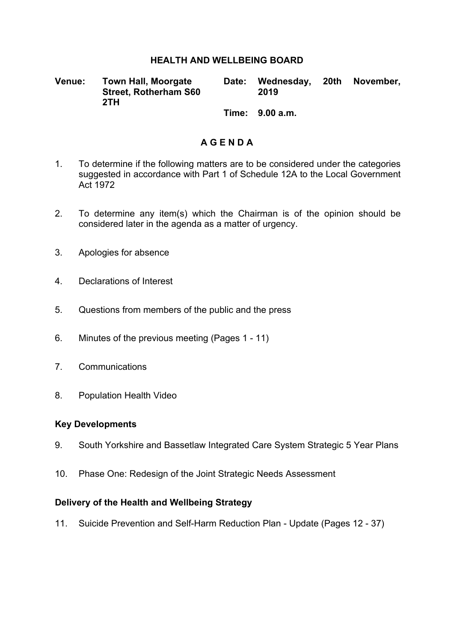### **HEALTH AND WELLBEING BOARD**

**Venue: Town Hall, Moorgate Street, Rotherham S60 2TH Date: Wednesday, 20th November, 2019**

**Time: 9.00 a.m.**

## **A G E N D A**

- 1. To determine if the following matters are to be considered under the categories suggested in accordance with Part 1 of Schedule 12A to the Local Government Act 1972
- 2. To determine any item(s) which the Chairman is of the opinion should be considered later in the agenda as a matter of urgency.
- 3. Apologies for absence
- 4. Declarations of Interest
- 5. Questions from members of the public and the press
- 6. Minutes of the previous meeting (Pages 1 11)
- 7. Communications
- 8. Population Health Video

#### **Key Developments**

- 9. South Yorkshire and Bassetlaw Integrated Care System Strategic 5 Year Plans
- 10. Phase One: Redesign of the Joint Strategic Needs Assessment

### **Delivery of the Health and Wellbeing Strategy**

11. Suicide Prevention and Self-Harm Reduction Plan - Update (Pages 12 - 37)